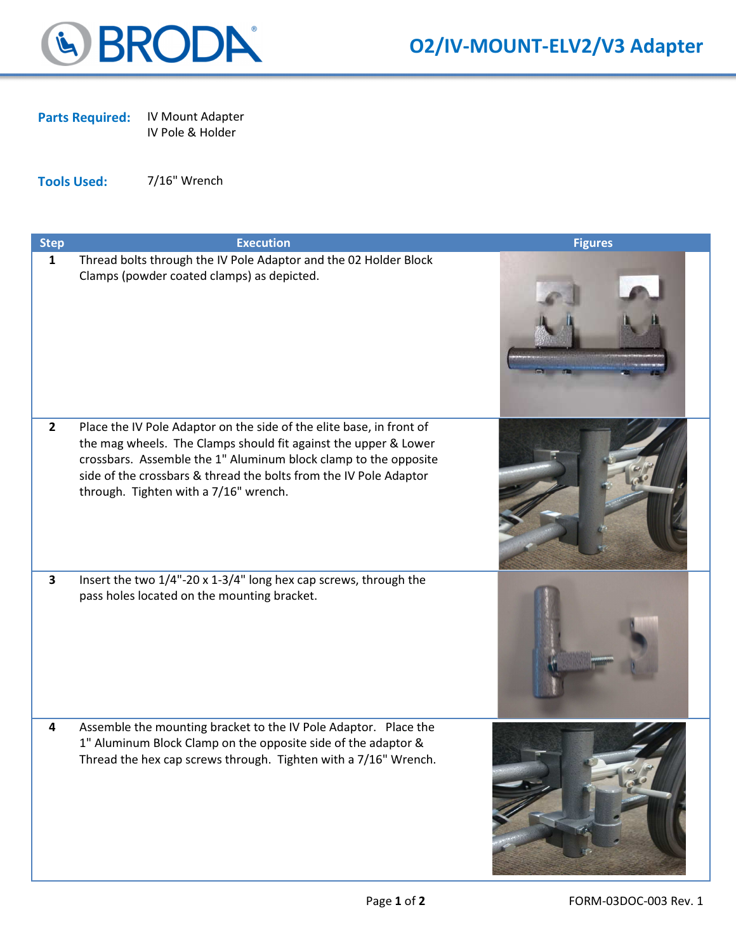

Parts Required: IV Mount Adapter

IV Pole & Holder

Tools Used: 7/16" Wrench

| <b>Step</b>    | <b>Execution</b>                                                                                                                                                                                                                                                                                                         | <b>Figures</b> |
|----------------|--------------------------------------------------------------------------------------------------------------------------------------------------------------------------------------------------------------------------------------------------------------------------------------------------------------------------|----------------|
| $\mathbf{1}$   | Thread bolts through the IV Pole Adaptor and the 02 Holder Block<br>Clamps (powder coated clamps) as depicted.                                                                                                                                                                                                           |                |
| $\overline{2}$ | Place the IV Pole Adaptor on the side of the elite base, in front of<br>the mag wheels. The Clamps should fit against the upper & Lower<br>crossbars. Assemble the 1" Aluminum block clamp to the opposite<br>side of the crossbars & thread the bolts from the IV Pole Adaptor<br>through. Tighten with a 7/16" wrench. |                |
| $\mathbf{3}$   | Insert the two 1/4"-20 x 1-3/4" long hex cap screws, through the<br>pass holes located on the mounting bracket.                                                                                                                                                                                                          |                |
| 4              | Assemble the mounting bracket to the IV Pole Adaptor. Place the<br>1" Aluminum Block Clamp on the opposite side of the adaptor &<br>Thread the hex cap screws through. Tighten with a 7/16" Wrench.                                                                                                                      |                |